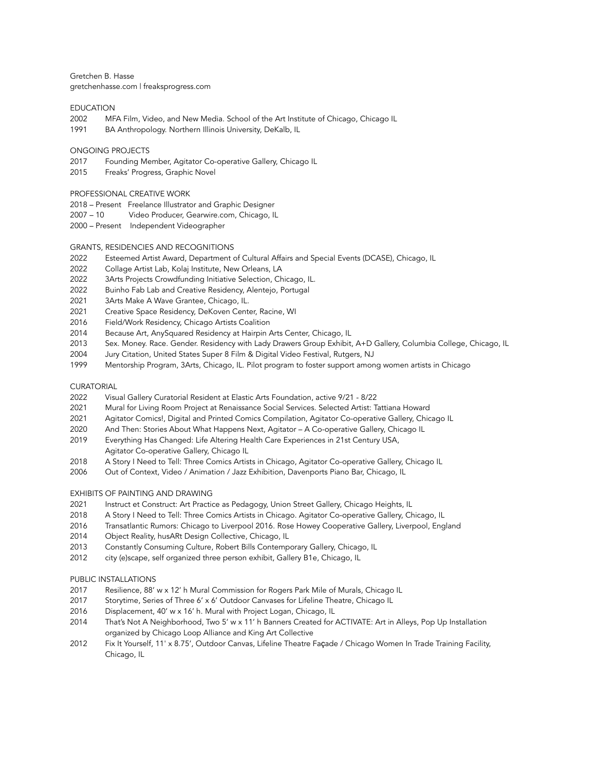Gretchen B. Hasse gretchenhasse.com | freaksprogress.com

## EDUCATION

- 2002 MFA Film, Video, and New Media. School of the Art Institute of Chicago, Chicago IL
- 1991 BA Anthropology. Northern Illinois University, DeKalb, IL
- ONGOING PROJECTS
- 2017 Founding Member, Agitator Co-operative Gallery, Chicago IL
- 2015 Freaks' Progress, Graphic Novel

#### PROFESSIONAL CREATIVE WORK

- 2018 Present Freelance Illustrator and Graphic Designer
- 2007 10 Video Producer, Gearwire.com, Chicago, IL
- 2000 Present Independent Videographer

## GRANTS, RESIDENCIES AND RECOGNITIONS

- 2022 Esteemed Artist Award, Department of Cultural Affairs and Special Events (DCASE), Chicago, IL
- 2022 Collage Artist Lab, Kolaj Institute, New Orleans, LA
- 2022 3Arts Projects Crowdfunding Initiative Selection, Chicago, IL.
- 2022 Buinho Fab Lab and Creative Residency, Alentejo, Portugal
- 2021 3Arts Make A Wave Grantee, Chicago, IL.
- 2021 Creative Space Residency, DeKoven Center, Racine, WI
- 2016 Field/Work Residency, Chicago Artists Coalition
- 2014 Because Art, AnySquared Residency at Hairpin Arts Center, Chicago, IL
- 2013 Sex. Money. Race. Gender. Residency with Lady Drawers Group Exhibit, A+D Gallery, Columbia College, Chicago, IL<br>2004 Jury Citation, United States Super 8 Film & Digital Video Festival, Rutgers, NJ
- Jury Citation, United States Super 8 Film & Digital Video Festival, Rutgers, NJ
- 1999 Mentorship Program, 3Arts, Chicago, IL. Pilot program to foster support among women artists in Chicago

# **CURATORIAL**

- 2022 Visual Gallery Curatorial Resident at Elastic Arts Foundation, active 9/21 8/22
- 2021 Mural for Living Room Project at Renaissance Social Services. Selected Artist: Tattiana Howard
- 2021 Agitator Comics!, Digital and Printed Comics Compilation, Agitator Co-operative Gallery, Chicago IL
- 2020 And Then: Stories About What Happens Next, Agitator A Co-operative Gallery, Chicago IL
- 2019 Everything Has Changed: Life Altering Health Care Experiences in 21st Century USA,
- Agitator Co-operative Gallery, Chicago IL
- 2018 A Story I Need to Tell: Three Comics Artists in Chicago, Agitator Co-operative Gallery, Chicago IL
- 2006 Out of Context, Video / Animation / Jazz Exhibition, Davenports Piano Bar, Chicago, IL

# EXHIBITS OF PAINTING AND DRAWING

- 2021 Instruct et Construct: Art Practice as Pedagogy, Union Street Gallery, Chicago Heights, IL
- 2018 A Story I Need to Tell: Three Comics Artists in Chicago. Agitator Co-operative Gallery, Chicago, IL
- 2016 Transatlantic Rumors: Chicago to Liverpool 2016. Rose Howey Cooperative Gallery, Liverpool, England
- 2014 Object Reality, husARt Design Collective, Chicago, IL
- 2013 Constantly Consuming Culture, Robert Bills Contemporary Gallery, Chicago, IL
- 2012 city (e)scape, self organized three person exhibit, Gallery B1e, Chicago, IL

#### PUBLIC INSTALLATIONS

- 2017 Resilience, 88' w x 12' h Mural Commission for Rogers Park Mile of Murals, Chicago IL
- 2017 Storytime, Series of Three 6' x 6' Outdoor Canvases for Lifeline Theatre, Chicago IL
- 2016 Displacement, 40' w x 16' h. Mural with Project Logan, Chicago, IL
- 2014 That's Not A Neighborhood, Two 5' w x 11' h Banners Created for ACTIVATE: Art in Alleys, Pop Up Installation organized by Chicago Loop Alliance and King Art Collective
- 2012 Fix It Yourself, 11' x 8.75', Outdoor Canvas, Lifeline Theatre Façade / Chicago Women In Trade Training Facility, Chicago, IL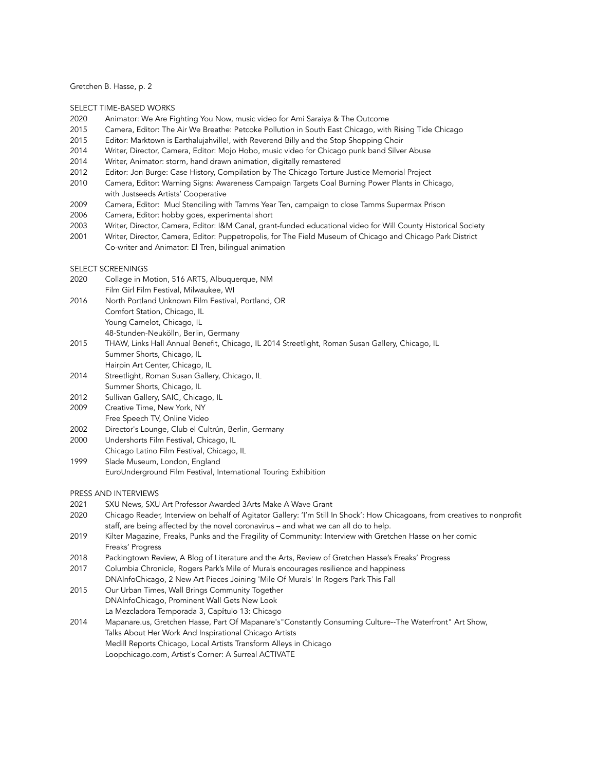Gretchen B. Hasse, p. 2

SELECT TIME-BASED WORKS

- 2020 Animator: We Are Fighting You Now, music video for Ami Saraiya & The Outcome
- 2015 Camera, Editor: The Air We Breathe: Petcoke Pollution in South East Chicago, with Rising Tide Chicago
- 2015 Editor: Marktown is Earthalujahville!, with Reverend Billy and the Stop Shopping Choir
- 2014 Writer, Director, Camera, Editor: Mojo Hobo, music video for Chicago punk band Silver Abuse
- 2014 Writer, Animator: storm, hand drawn animation, digitally remastered
- 2012 Editor: Jon Burge: Case History, Compilation by The Chicago Torture Justice Memorial Project<br>2010 Camera. Editor: Warning Signs: Awareness Campaign Targets Coal Burning Power Plants in Ch
- Camera, Editor: Warning Signs: Awareness Campaign Targets Coal Burning Power Plants in Chicago, with Justseeds Artists' Cooperative
- 2009 Camera, Editor: Mud Stenciling with Tamms Year Ten, campaign to close Tamms Supermax Prison
- 2006 Camera, Editor: hobby goes, experimental short
- 2003 Writer, Director, Camera, Editor: I&M Canal, grant-funded educational video for Will County Historical Society
- 2001 Writer, Director, Camera, Editor: Puppetropolis, for The Field Museum of Chicago and Chicago Park District Co-writer and Animator: El Tren, bilingual animation

#### SELECT SCREENINGS

- 2020 Collage in Motion, 516 ARTS, Albuquerque, NM Film Girl Film Festival, Milwaukee, WI
- 2016 North Portland Unknown Film Festival, Portland, OR
- Comfort Station, Chicago, IL
	- Young Camelot, Chicago, IL
- 48-Stunden-Neukölln, Berlin, Germany
- 2015 THAW, Links Hall Annual Benefit, Chicago, IL 2014 Streetlight, Roman Susan Gallery, Chicago, IL Summer Shorts, Chicago, IL
	- Hairpin Art Center, Chicago, IL
- 2014 Streetlight, Roman Susan Gallery, Chicago, IL
- Summer Shorts, Chicago, IL
- 2012 Sullivan Gallery, SAIC, Chicago, IL
- 2009 Creative Time, New York, NY
- Free Speech TV, Online Video
- 2002 Director's Lounge, Club el Cultrún, Berlin, Germany
- 2000 Undershorts Film Festival, Chicago, IL
- Chicago Latino Film Festival, Chicago, IL
- 1999 Slade Museum, London, England EuroUnderground Film Festival, International Touring Exhibition

# PRESS AND INTERVIEWS

- 2021 SXU News, SXU Art Professor Awarded 3Arts Make A Wave Grant
- 2020 Chicago Reader, Interview on behalf of Agitator Gallery: 'I'm Still In Shock': How Chicagoans, from creatives to nonprofit staff, are being affected by the novel coronavirus – and what we can all do to help.
- 2019 Kilter Magazine, Freaks, Punks and the Fragility of Community: Interview with Gretchen Hasse on her comic Freaks' Progress
- 2018 Packingtown Review, A Blog of Literature and the Arts, Review of Gretchen Hasse's Freaks' Progress
- 2017 Columbia Chronicle, Rogers Park's Mile of Murals encourages resilience and happiness
- DNAInfoChicago, 2 New Art Pieces Joining 'Mile Of Murals' In Rogers Park This Fall
- 2015 Our Urban Times, Wall Brings Community Together DNAInfoChicago, Prominent Wall Gets New Look La Mezcladora Temporada 3, Capítulo 13: Chicago
- 2014 Mapanare.us, Gretchen Hasse, Part Of Mapanare's"Constantly Consuming Culture--The Waterfront" Art Show, Talks About Her Work And Inspirational Chicago Artists Medill Reports Chicago, Local Artists Transform Alleys in Chicago Loopchicago.com, Artist's Corner: A Surreal ACTIVATE